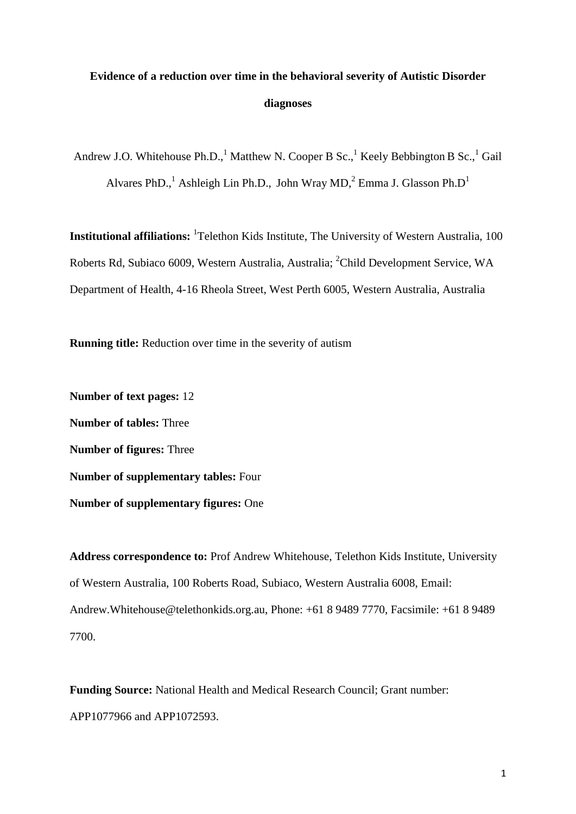# **Evidence of a reduction over time in the behavioral severity of Autistic Disorder diagnoses**

Andrew J.O. Whitehouse Ph.D.,  $^1$  Matthew N. Cooper B Sc., Keely Bebbington B Sc., Gail Alvares PhD.,<sup>1</sup> Ashleigh Lin Ph.D., John Wray MD,<sup>2</sup> Emma J. Glasson Ph.D<sup>1</sup>

**Institutional affiliations:** <sup>1</sup>Telethon Kids Institute, The University of Western Australia, 100 Roberts Rd, Subiaco 6009, Western Australia, Australia; <sup>2</sup>Child Development Service, WA Department of Health, 4-16 Rheola Street, West Perth 6005, Western Australia, Australia

**Running title:** Reduction over time in the severity of autism

**Number of text pages:** 12 **Number of tables:** Three **Number of figures:** Three **Number of supplementary tables:** Four **Number of supplementary figures:** One

**Address correspondence to:** Prof Andrew Whitehouse, Telethon Kids Institute, University of Western Australia, 100 Roberts Road, Subiaco, Western Australia 6008, Email: Andrew.Whitehouse@telethonkids.org.au, Phone: +61 8 9489 7770, Facsimile: +61 8 9489 7700.

**Funding Source:** National Health and Medical Research Council; Grant number: APP1077966 and APP1072593.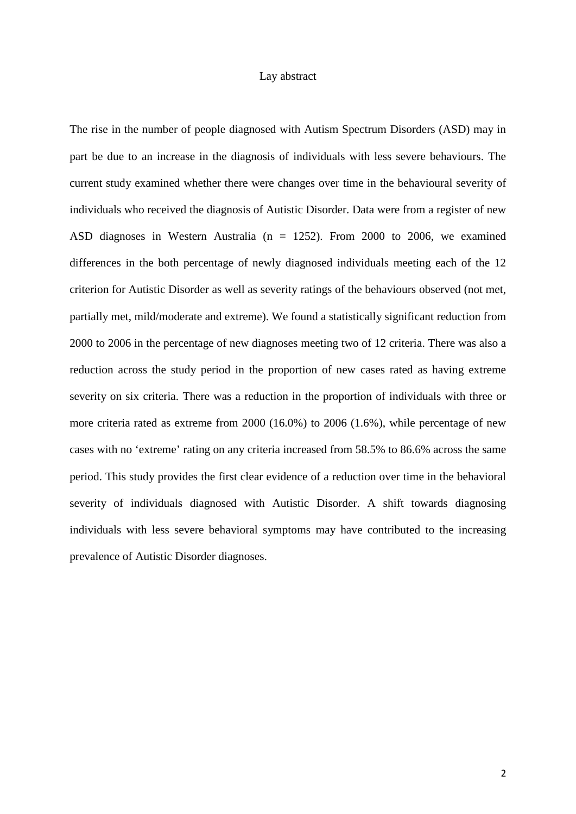#### Lay abstract

The rise in the number of people diagnosed with Autism Spectrum Disorders (ASD) may in part be due to an increase in the diagnosis of individuals with less severe behaviours. The current study examined whether there were changes over time in the behavioural severity of individuals who received the diagnosis of Autistic Disorder. Data were from a register of new ASD diagnoses in Western Australia (n = 1252). From 2000 to 2006, we examined differences in the both percentage of newly diagnosed individuals meeting each of the 12 criterion for Autistic Disorder as well as severity ratings of the behaviours observed (not met, partially met, mild/moderate and extreme). We found a statistically significant reduction from 2000 to 2006 in the percentage of new diagnoses meeting two of 12 criteria. There was also a reduction across the study period in the proportion of new cases rated as having extreme severity on six criteria. There was a reduction in the proportion of individuals with three or more criteria rated as extreme from 2000 (16.0%) to 2006 (1.6%), while percentage of new cases with no 'extreme' rating on any criteria increased from 58.5% to 86.6% across the same period. This study provides the first clear evidence of a reduction over time in the behavioral severity of individuals diagnosed with Autistic Disorder. A shift towards diagnosing individuals with less severe behavioral symptoms may have contributed to the increasing prevalence of Autistic Disorder diagnoses.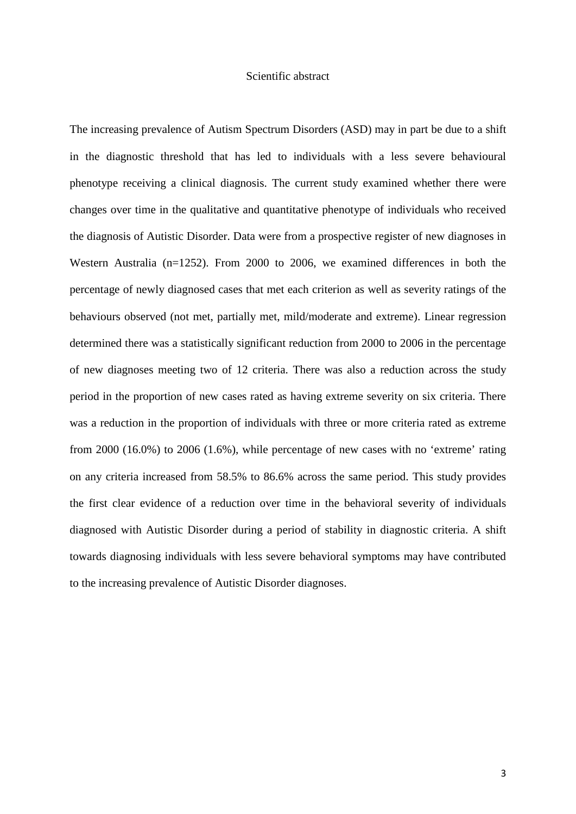## Scientific abstract

The increasing prevalence of Autism Spectrum Disorders (ASD) may in part be due to a shift in the diagnostic threshold that has led to individuals with a less severe behavioural phenotype receiving a clinical diagnosis. The current study examined whether there were changes over time in the qualitative and quantitative phenotype of individuals who received the diagnosis of Autistic Disorder. Data were from a prospective register of new diagnoses in Western Australia (n=1252). From 2000 to 2006, we examined differences in both the percentage of newly diagnosed cases that met each criterion as well as severity ratings of the behaviours observed (not met, partially met, mild/moderate and extreme). Linear regression determined there was a statistically significant reduction from 2000 to 2006 in the percentage of new diagnoses meeting two of 12 criteria. There was also a reduction across the study period in the proportion of new cases rated as having extreme severity on six criteria. There was a reduction in the proportion of individuals with three or more criteria rated as extreme from 2000 (16.0%) to 2006 (1.6%), while percentage of new cases with no 'extreme' rating on any criteria increased from 58.5% to 86.6% across the same period. This study provides the first clear evidence of a reduction over time in the behavioral severity of individuals diagnosed with Autistic Disorder during a period of stability in diagnostic criteria. A shift towards diagnosing individuals with less severe behavioral symptoms may have contributed to the increasing prevalence of Autistic Disorder diagnoses.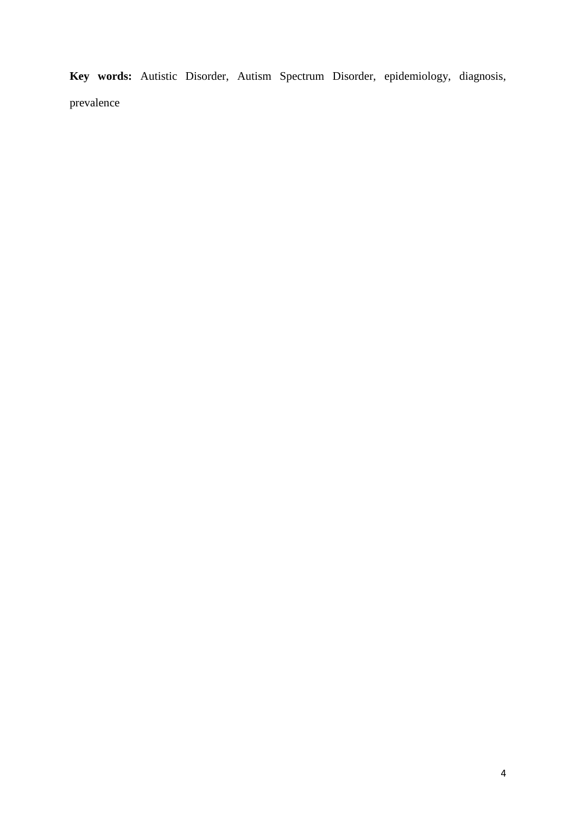**Key words:** Autistic Disorder, Autism Spectrum Disorder, epidemiology, diagnosis, prevalence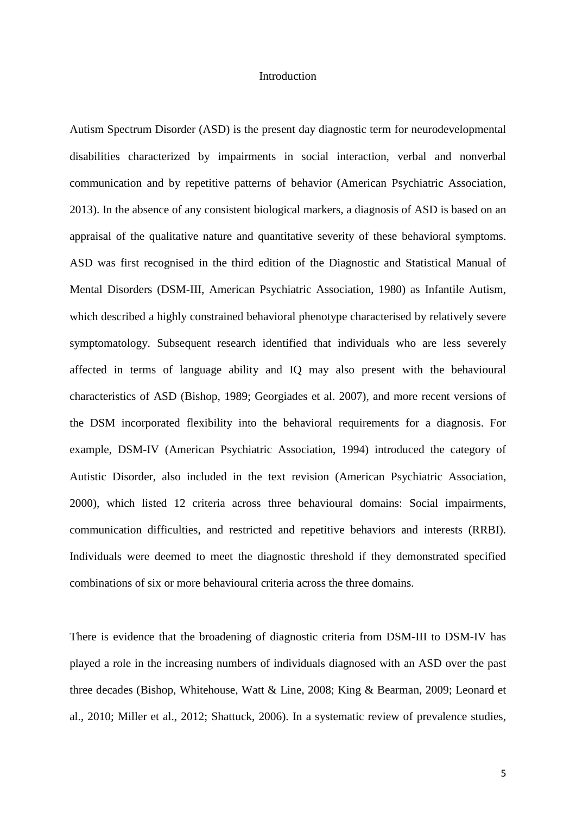## Introduction

Autism Spectrum Disorder (ASD) is the present day diagnostic term for neurodevelopmental disabilities characterized by impairments in social interaction, verbal and nonverbal communication and by repetitive patterns of behavior (American Psychiatric Association, 2013). In the absence of any consistent biological markers, a diagnosis of ASD is based on an appraisal of the qualitative nature and quantitative severity of these behavioral symptoms. ASD was first recognised in the third edition of the Diagnostic and Statistical Manual of Mental Disorders (DSM-III, American Psychiatric Association, 1980) as Infantile Autism, which described a highly constrained behavioral phenotype characterised by relatively severe symptomatology. Subsequent research identified that individuals who are less severely affected in terms of language ability and IQ may also present with the behavioural characteristics of ASD (Bishop, 1989; Georgiades et al. 2007), and more recent versions of the DSM incorporated flexibility into the behavioral requirements for a diagnosis. For example, DSM-IV (American Psychiatric Association, 1994) introduced the category of Autistic Disorder, also included in the text revision (American Psychiatric Association, 2000), which listed 12 criteria across three behavioural domains: Social impairments, communication difficulties, and restricted and repetitive behaviors and interests (RRBI). Individuals were deemed to meet the diagnostic threshold if they demonstrated specified combinations of six or more behavioural criteria across the three domains.

There is evidence that the broadening of diagnostic criteria from DSM-III to DSM-IV has played a role in the increasing numbers of individuals diagnosed with an ASD over the past three decades (Bishop, Whitehouse, Watt & Line, 2008; King & Bearman, 2009; Leonard et al., 2010; Miller et al., 2012; Shattuck, 2006). In a systematic review of prevalence studies,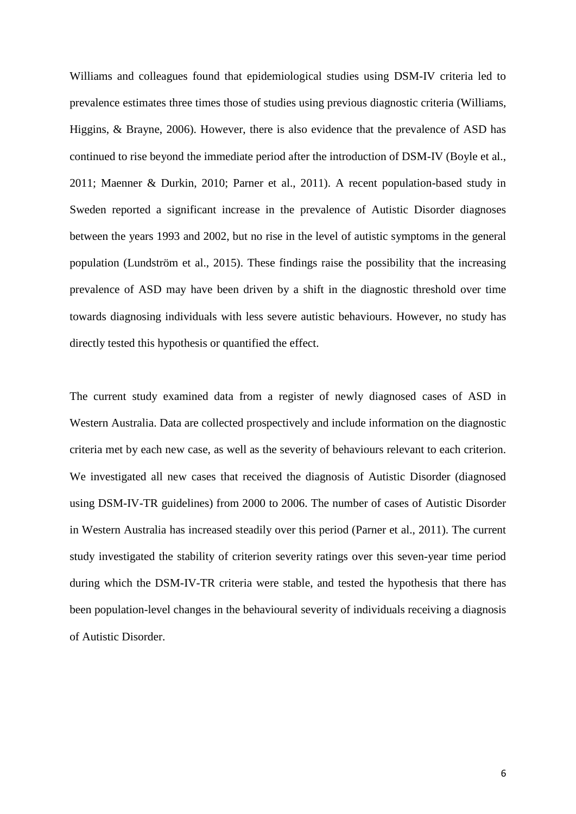Williams and colleagues found that epidemiological studies using DSM-IV criteria led to prevalence estimates three times those of studies using previous diagnostic criteria (Williams, Higgins, & Brayne, 2006). However, there is also evidence that the prevalence of ASD has continued to rise beyond the immediate period after the introduction of DSM-IV (Boyle et al., 2011; Maenner & Durkin, 2010; Parner et al., 2011). A recent population-based study in Sweden reported a significant increase in the prevalence of Autistic Disorder diagnoses between the years 1993 and 2002, but no rise in the level of autistic symptoms in the general population (Lundström et al., 2015). These findings raise the possibility that the increasing prevalence of ASD may have been driven by a shift in the diagnostic threshold over time towards diagnosing individuals with less severe autistic behaviours. However, no study has directly tested this hypothesis or quantified the effect.

The current study examined data from a register of newly diagnosed cases of ASD in Western Australia. Data are collected prospectively and include information on the diagnostic criteria met by each new case, as well as the severity of behaviours relevant to each criterion. We investigated all new cases that received the diagnosis of Autistic Disorder (diagnosed using DSM-IV-TR guidelines) from 2000 to 2006. The number of cases of Autistic Disorder in Western Australia has increased steadily over this period (Parner et al., 2011). The current study investigated the stability of criterion severity ratings over this seven-year time period during which the DSM-IV-TR criteria were stable, and tested the hypothesis that there has been population-level changes in the behavioural severity of individuals receiving a diagnosis of Autistic Disorder.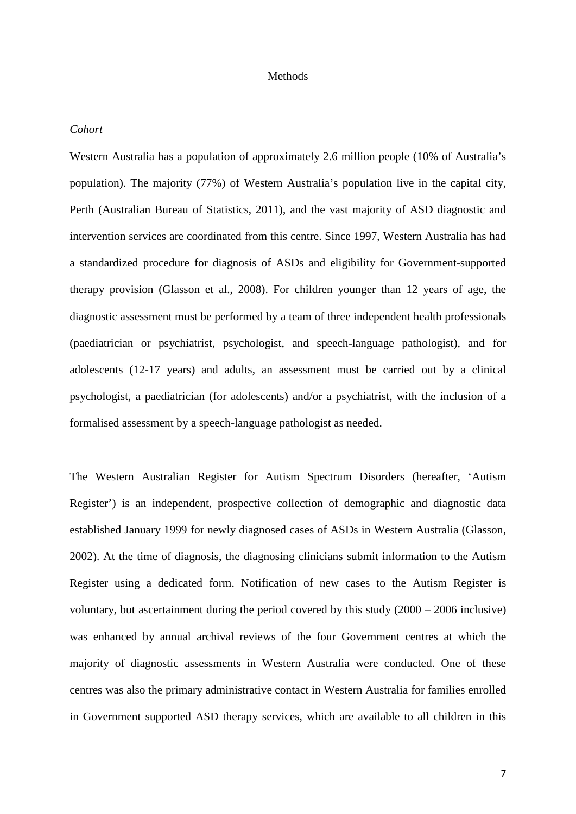#### Methods

#### *Cohort*

Western Australia has a population of approximately 2.6 million people (10% of Australia's population). The majority (77%) of Western Australia's population live in the capital city, Perth (Australian Bureau of Statistics, 2011), and the vast majority of ASD diagnostic and intervention services are coordinated from this centre. Since 1997, Western Australia has had a standardized procedure for diagnosis of ASDs and eligibility for Government-supported therapy provision (Glasson et al., 2008). For children younger than 12 years of age, the diagnostic assessment must be performed by a team of three independent health professionals (paediatrician or psychiatrist, psychologist, and speech-language pathologist), and for adolescents (12-17 years) and adults, an assessment must be carried out by a clinical psychologist, a paediatrician (for adolescents) and/or a psychiatrist, with the inclusion of a formalised assessment by a speech-language pathologist as needed.

The Western Australian Register for Autism Spectrum Disorders (hereafter, 'Autism Register') is an independent, prospective collection of demographic and diagnostic data established January 1999 for newly diagnosed cases of ASDs in Western Australia (Glasson, 2002). At the time of diagnosis, the diagnosing clinicians submit information to the Autism Register using a dedicated form. Notification of new cases to the Autism Register is voluntary, but ascertainment during the period covered by this study (2000 – 2006 inclusive) was enhanced by annual archival reviews of the four Government centres at which the majority of diagnostic assessments in Western Australia were conducted. One of these centres was also the primary administrative contact in Western Australia for families enrolled in Government supported ASD therapy services, which are available to all children in this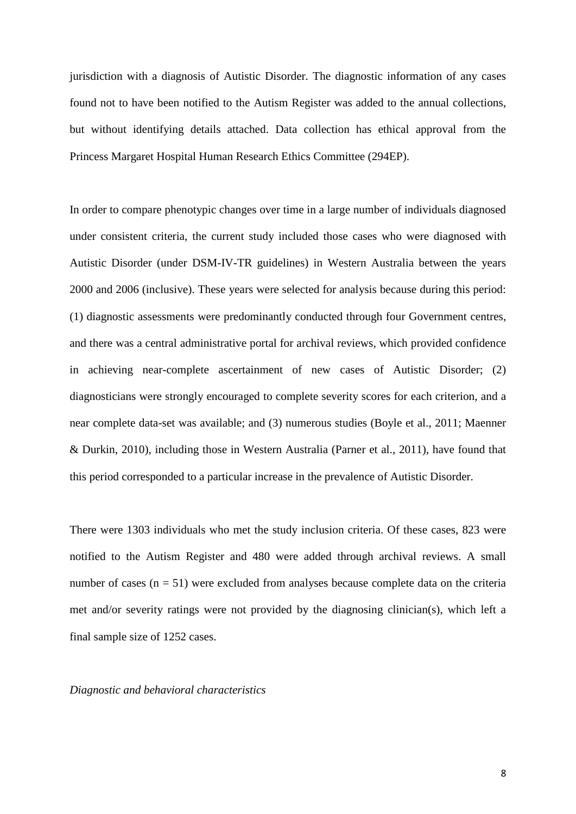jurisdiction with a diagnosis of Autistic Disorder. The diagnostic information of any cases found not to have been notified to the Autism Register was added to the annual collections, but without identifying details attached. Data collection has ethical approval from the Princess Margaret Hospital Human Research Ethics Committee (294EP).

In order to compare phenotypic changes over time in a large number of individuals diagnosed under consistent criteria, the current study included those cases who were diagnosed with Autistic Disorder (under DSM-IV-TR guidelines) in Western Australia between the years 2000 and 2006 (inclusive). These years were selected for analysis because during this period: (1) diagnostic assessments were predominantly conducted through four Government centres, and there was a central administrative portal for archival reviews, which provided confidence in achieving near-complete ascertainment of new cases of Autistic Disorder; (2) diagnosticians were strongly encouraged to complete severity scores for each criterion, and a near complete data-set was available; and (3) numerous studies (Boyle et al., 2011; Maenner & Durkin, 2010), including those in Western Australia (Parner et al., 2011), have found that this period corresponded to a particular increase in the prevalence of Autistic Disorder.

There were 1303 individuals who met the study inclusion criteria. Of these cases, 823 were notified to the Autism Register and 480 were added through archival reviews. A small number of cases  $(n = 51)$  were excluded from analyses because complete data on the criteria met and/or severity ratings were not provided by the diagnosing clinician(s), which left a final sample size of 1252 cases.

*Diagnostic and behavioral characteristics*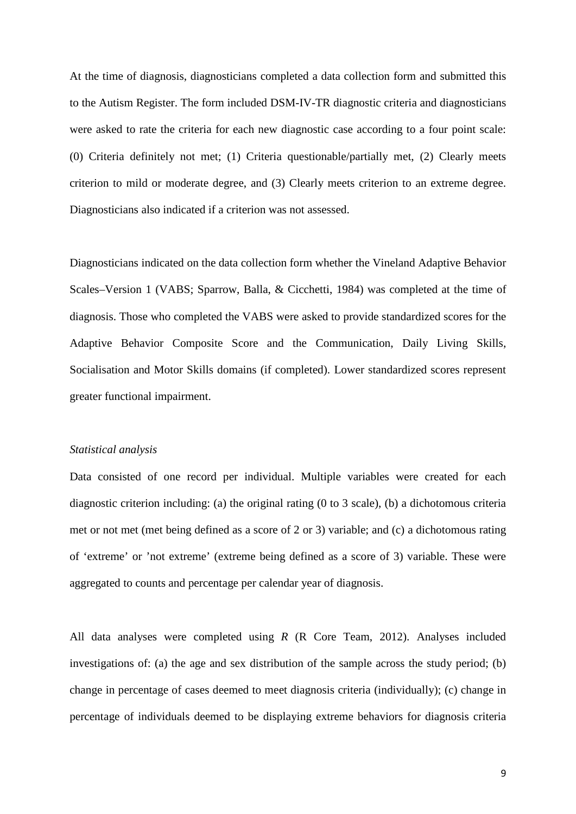At the time of diagnosis, diagnosticians completed a data collection form and submitted this to the Autism Register. The form included DSM-IV-TR diagnostic criteria and diagnosticians were asked to rate the criteria for each new diagnostic case according to a four point scale: (0) Criteria definitely not met; (1) Criteria questionable/partially met, (2) Clearly meets criterion to mild or moderate degree, and (3) Clearly meets criterion to an extreme degree. Diagnosticians also indicated if a criterion was not assessed.

Diagnosticians indicated on the data collection form whether the Vineland Adaptive Behavior Scales–Version 1 (VABS; Sparrow, Balla, & Cicchetti, 1984) was completed at the time of diagnosis. Those who completed the VABS were asked to provide standardized scores for the Adaptive Behavior Composite Score and the Communication, Daily Living Skills, Socialisation and Motor Skills domains (if completed). Lower standardized scores represent greater functional impairment.

#### *Statistical analysis*

Data consisted of one record per individual. Multiple variables were created for each diagnostic criterion including: (a) the original rating (0 to 3 scale), (b) a dichotomous criteria met or not met (met being defined as a score of 2 or 3) variable; and (c) a dichotomous rating of 'extreme' or 'not extreme' (extreme being defined as a score of 3) variable. These were aggregated to counts and percentage per calendar year of diagnosis.

All data analyses were completed using *R* (R Core Team, 2012). Analyses included investigations of: (a) the age and sex distribution of the sample across the study period; (b) change in percentage of cases deemed to meet diagnosis criteria (individually); (c) change in percentage of individuals deemed to be displaying extreme behaviors for diagnosis criteria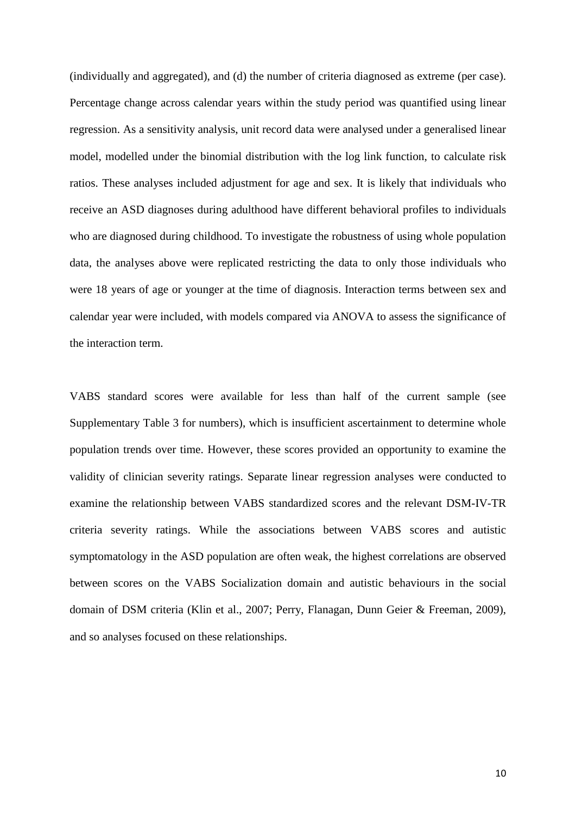(individually and aggregated), and (d) the number of criteria diagnosed as extreme (per case). Percentage change across calendar years within the study period was quantified using linear regression. As a sensitivity analysis, unit record data were analysed under a generalised linear model, modelled under the binomial distribution with the log link function, to calculate risk ratios. These analyses included adjustment for age and sex. It is likely that individuals who receive an ASD diagnoses during adulthood have different behavioral profiles to individuals who are diagnosed during childhood. To investigate the robustness of using whole population data, the analyses above were replicated restricting the data to only those individuals who were 18 years of age or younger at the time of diagnosis. Interaction terms between sex and calendar year were included, with models compared via ANOVA to assess the significance of the interaction term.

VABS standard scores were available for less than half of the current sample (see Supplementary Table 3 for numbers), which is insufficient ascertainment to determine whole population trends over time. However, these scores provided an opportunity to examine the validity of clinician severity ratings. Separate linear regression analyses were conducted to examine the relationship between VABS standardized scores and the relevant DSM-IV-TR criteria severity ratings. While the associations between VABS scores and autistic symptomatology in the ASD population are often weak, the highest correlations are observed between scores on the VABS Socialization domain and autistic behaviours in the social domain of DSM criteria (Klin et al., 2007; Perry, Flanagan, Dunn Geier & Freeman, 2009), and so analyses focused on these relationships.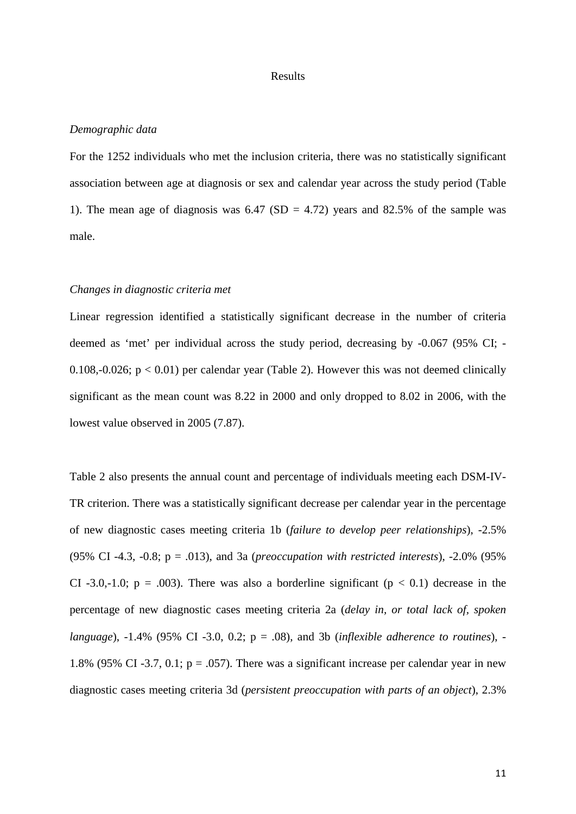#### Results

#### *Demographic data*

For the 1252 individuals who met the inclusion criteria, there was no statistically significant association between age at diagnosis or sex and calendar year across the study period (Table 1). The mean age of diagnosis was  $6.47$  (SD = 4.72) years and 82.5% of the sample was male.

# *Changes in diagnostic criteria met*

Linear regression identified a statistically significant decrease in the number of criteria deemed as 'met' per individual across the study period, decreasing by -0.067 (95% CI; - 0.108,-0.026;  $p < 0.01$ ) per calendar year (Table 2). However this was not deemed clinically significant as the mean count was 8.22 in 2000 and only dropped to 8.02 in 2006, with the lowest value observed in 2005 (7.87).

Table 2 also presents the annual count and percentage of individuals meeting each DSM-IV-TR criterion. There was a statistically significant decrease per calendar year in the percentage of new diagnostic cases meeting criteria 1b (*failure to develop peer relationships*), -2.5% (95% CI -4.3, -0.8; p = .013), and 3a (*preoccupation with restricted interests*), -2.0% (95% CI -3.0,-1.0;  $p = .003$ ). There was also a borderline significant ( $p < 0.1$ ) decrease in the percentage of new diagnostic cases meeting criteria 2a (*delay in, or total lack of, spoken language*), -1.4% (95% CI -3.0, 0.2; p = .08), and 3b (*inflexible adherence to routines*), - 1.8% (95% CI -3.7, 0.1;  $p = .057$ ). There was a significant increase per calendar year in new diagnostic cases meeting criteria 3d (*persistent preoccupation with parts of an object*), 2.3%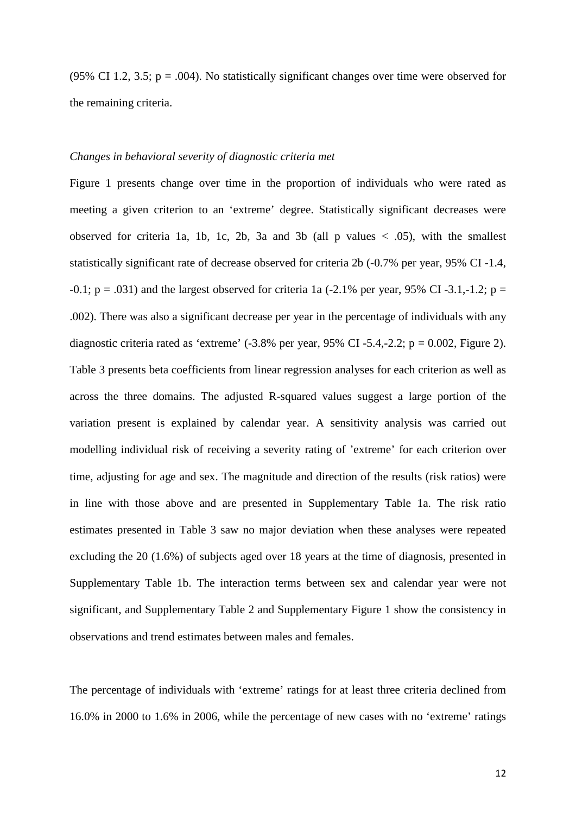(95% CI 1.2, 3.5;  $p = .004$ ). No statistically significant changes over time were observed for the remaining criteria.

# *Changes in behavioral severity of diagnostic criteria met*

Figure 1 presents change over time in the proportion of individuals who were rated as meeting a given criterion to an 'extreme' degree. Statistically significant decreases were observed for criteria 1a, 1b, 1c, 2b, 3a and 3b (all p values  $\langle .05 \rangle$ , with the smallest statistically significant rate of decrease observed for criteria 2b (-0.7% per year, 95% CI -1.4,  $-0.1$ ; p = .031) and the largest observed for criteria 1a ( $-2.1\%$  per year, 95% CI  $-3.1,-1.2$ ; p = .002). There was also a significant decrease per year in the percentage of individuals with any diagnostic criteria rated as 'extreme'  $(-3.8\%$  per year, 95% CI-5.4,-2.2; p = 0.002, Figure 2). Table 3 presents beta coefficients from linear regression analyses for each criterion as well as across the three domains. The adjusted R-squared values suggest a large portion of the variation present is explained by calendar year. A sensitivity analysis was carried out modelling individual risk of receiving a severity rating of 'extreme' for each criterion over time, adjusting for age and sex. The magnitude and direction of the results (risk ratios) were in line with those above and are presented in Supplementary Table 1a. The risk ratio estimates presented in Table 3 saw no major deviation when these analyses were repeated excluding the 20 (1.6%) of subjects aged over 18 years at the time of diagnosis, presented in Supplementary Table 1b. The interaction terms between sex and calendar year were not significant, and Supplementary Table 2 and Supplementary Figure 1 show the consistency in observations and trend estimates between males and females.

The percentage of individuals with 'extreme' ratings for at least three criteria declined from 16.0% in 2000 to 1.6% in 2006, while the percentage of new cases with no 'extreme' ratings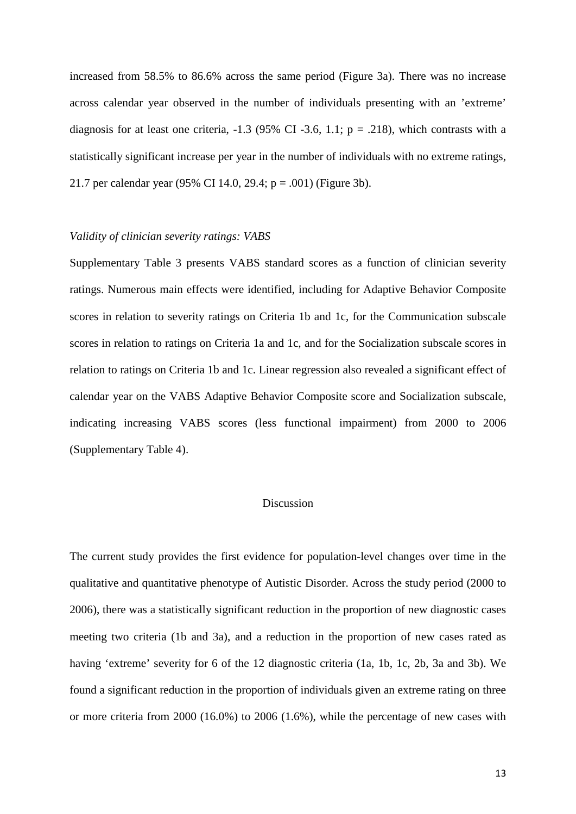increased from 58.5% to 86.6% across the same period (Figure 3a). There was no increase across calendar year observed in the number of individuals presenting with an 'extreme' diagnosis for at least one criteria,  $-1.3$  (95% CI  $-3.6$ , 1.1; p = .218), which contrasts with a statistically significant increase per year in the number of individuals with no extreme ratings, 21.7 per calendar year (95% CI 14.0, 29.4; p = .001) (Figure 3b).

#### *Validity of clinician severity ratings: VABS*

Supplementary Table 3 presents VABS standard scores as a function of clinician severity ratings. Numerous main effects were identified, including for Adaptive Behavior Composite scores in relation to severity ratings on Criteria 1b and 1c, for the Communication subscale scores in relation to ratings on Criteria 1a and 1c, and for the Socialization subscale scores in relation to ratings on Criteria 1b and 1c. Linear regression also revealed a significant effect of calendar year on the VABS Adaptive Behavior Composite score and Socialization subscale, indicating increasing VABS scores (less functional impairment) from 2000 to 2006 (Supplementary Table 4).

# Discussion

The current study provides the first evidence for population-level changes over time in the qualitative and quantitative phenotype of Autistic Disorder. Across the study period (2000 to 2006), there was a statistically significant reduction in the proportion of new diagnostic cases meeting two criteria (1b and 3a), and a reduction in the proportion of new cases rated as having 'extreme' severity for 6 of the 12 diagnostic criteria (1a, 1b, 1c, 2b, 3a and 3b). We found a significant reduction in the proportion of individuals given an extreme rating on three or more criteria from 2000 (16.0%) to 2006 (1.6%), while the percentage of new cases with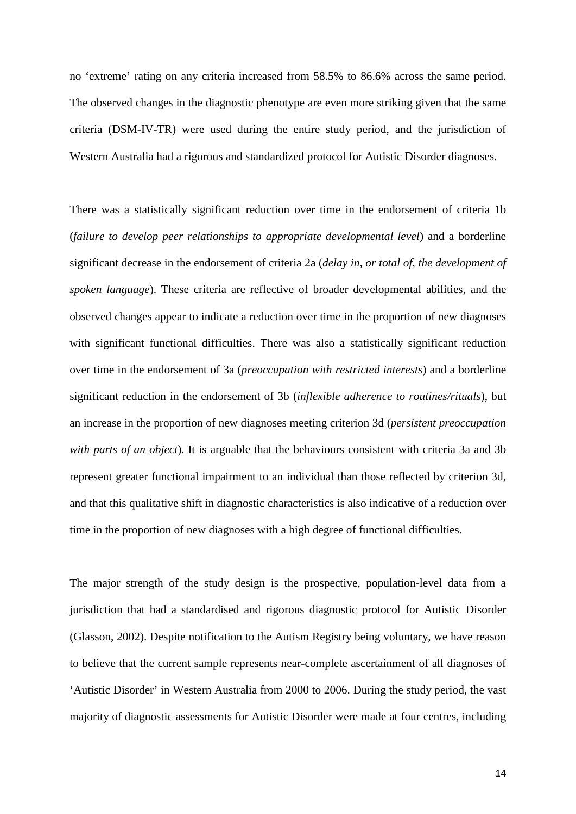no 'extreme' rating on any criteria increased from 58.5% to 86.6% across the same period. The observed changes in the diagnostic phenotype are even more striking given that the same criteria (DSM-IV-TR) were used during the entire study period, and the jurisdiction of Western Australia had a rigorous and standardized protocol for Autistic Disorder diagnoses.

There was a statistically significant reduction over time in the endorsement of criteria 1b (*failure to develop peer relationships to appropriate developmental level*) and a borderline significant decrease in the endorsement of criteria 2a (*delay in, or total of, the development of spoken language*). These criteria are reflective of broader developmental abilities, and the observed changes appear to indicate a reduction over time in the proportion of new diagnoses with significant functional difficulties. There was also a statistically significant reduction over time in the endorsement of 3a (*preoccupation with restricted interests*) and a borderline significant reduction in the endorsement of 3b (*inflexible adherence to routines/rituals*), but an increase in the proportion of new diagnoses meeting criterion 3d (*persistent preoccupation with parts of an object*). It is arguable that the behaviours consistent with criteria 3a and 3b represent greater functional impairment to an individual than those reflected by criterion 3d, and that this qualitative shift in diagnostic characteristics is also indicative of a reduction over time in the proportion of new diagnoses with a high degree of functional difficulties.

The major strength of the study design is the prospective, population-level data from a jurisdiction that had a standardised and rigorous diagnostic protocol for Autistic Disorder (Glasson, 2002). Despite notification to the Autism Registry being voluntary, we have reason to believe that the current sample represents near-complete ascertainment of all diagnoses of 'Autistic Disorder' in Western Australia from 2000 to 2006. During the study period, the vast majority of diagnostic assessments for Autistic Disorder were made at four centres, including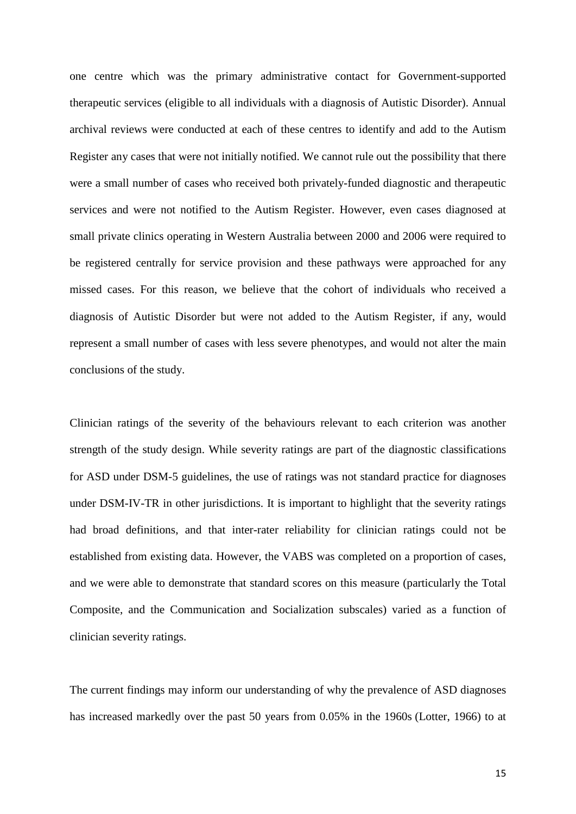one centre which was the primary administrative contact for Government-supported therapeutic services (eligible to all individuals with a diagnosis of Autistic Disorder). Annual archival reviews were conducted at each of these centres to identify and add to the Autism Register any cases that were not initially notified. We cannot rule out the possibility that there were a small number of cases who received both privately-funded diagnostic and therapeutic services and were not notified to the Autism Register. However, even cases diagnosed at small private clinics operating in Western Australia between 2000 and 2006 were required to be registered centrally for service provision and these pathways were approached for any missed cases. For this reason, we believe that the cohort of individuals who received a diagnosis of Autistic Disorder but were not added to the Autism Register, if any, would represent a small number of cases with less severe phenotypes, and would not alter the main conclusions of the study.

Clinician ratings of the severity of the behaviours relevant to each criterion was another strength of the study design. While severity ratings are part of the diagnostic classifications for ASD under DSM-5 guidelines, the use of ratings was not standard practice for diagnoses under DSM-IV-TR in other jurisdictions. It is important to highlight that the severity ratings had broad definitions, and that inter-rater reliability for clinician ratings could not be established from existing data. However, the VABS was completed on a proportion of cases, and we were able to demonstrate that standard scores on this measure (particularly the Total Composite, and the Communication and Socialization subscales) varied as a function of clinician severity ratings.

The current findings may inform our understanding of why the prevalence of ASD diagnoses has increased markedly over the past 50 years from 0.05% in the 1960s (Lotter, 1966) to at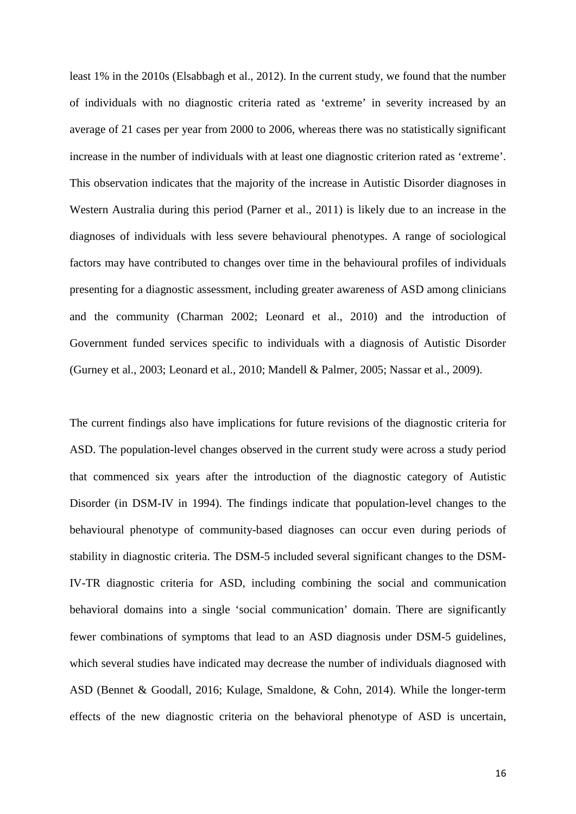least 1% in the 2010s (Elsabbagh et al., 2012). In the current study, we found that the number of individuals with no diagnostic criteria rated as 'extreme' in severity increased by an average of 21 cases per year from 2000 to 2006, whereas there was no statistically significant increase in the number of individuals with at least one diagnostic criterion rated as 'extreme'. This observation indicates that the majority of the increase in Autistic Disorder diagnoses in Western Australia during this period (Parner et al., 2011) is likely due to an increase in the diagnoses of individuals with less severe behavioural phenotypes. A range of sociological factors may have contributed to changes over time in the behavioural profiles of individuals presenting for a diagnostic assessment, including greater awareness of ASD among clinicians and the community (Charman 2002; Leonard et al., 2010) and the introduction of Government funded services specific to individuals with a diagnosis of Autistic Disorder (Gurney et al., 2003; Leonard et al., 2010; Mandell & Palmer, 2005; Nassar et al., 2009).

The current findings also have implications for future revisions of the diagnostic criteria for ASD. The population-level changes observed in the current study were across a study period that commenced six years after the introduction of the diagnostic category of Autistic Disorder (in DSM-IV in 1994). The findings indicate that population-level changes to the behavioural phenotype of community-based diagnoses can occur even during periods of stability in diagnostic criteria. The DSM-5 included several significant changes to the DSM-IV-TR diagnostic criteria for ASD, including combining the social and communication behavioral domains into a single 'social communication' domain. There are significantly fewer combinations of symptoms that lead to an ASD diagnosis under DSM-5 guidelines, which several studies have indicated may decrease the number of individuals diagnosed with ASD (Bennet & Goodall, 2016; Kulage, Smaldone, & Cohn, 2014). While the longer-term effects of the new diagnostic criteria on the behavioral phenotype of ASD is uncertain,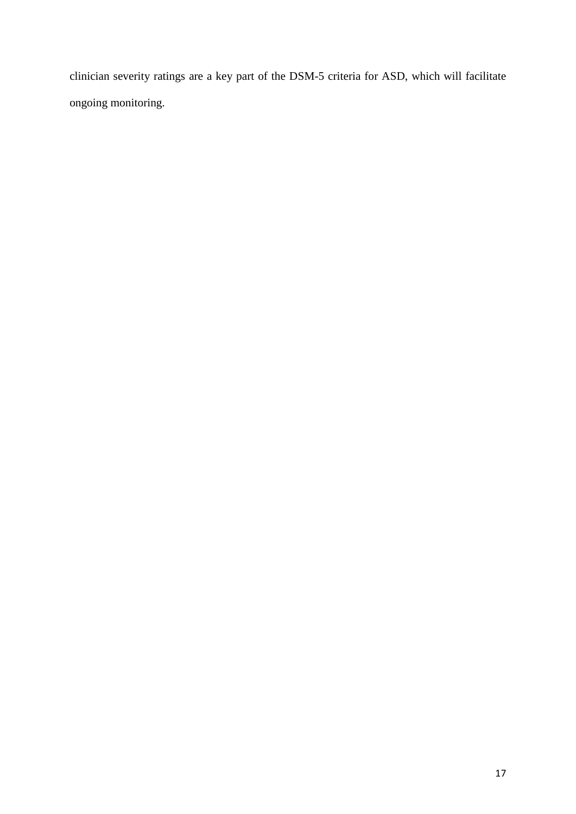clinician severity ratings are a key part of the DSM-5 criteria for ASD, which will facilitate ongoing monitoring.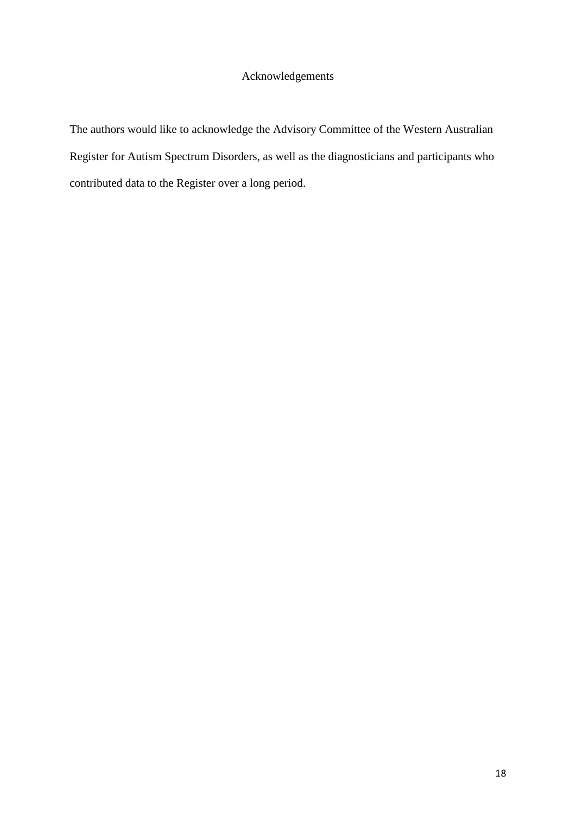# Acknowledgements

The authors would like to acknowledge the Advisory Committee of the Western Australian Register for Autism Spectrum Disorders, as well as the diagnosticians and participants who contributed data to the Register over a long period.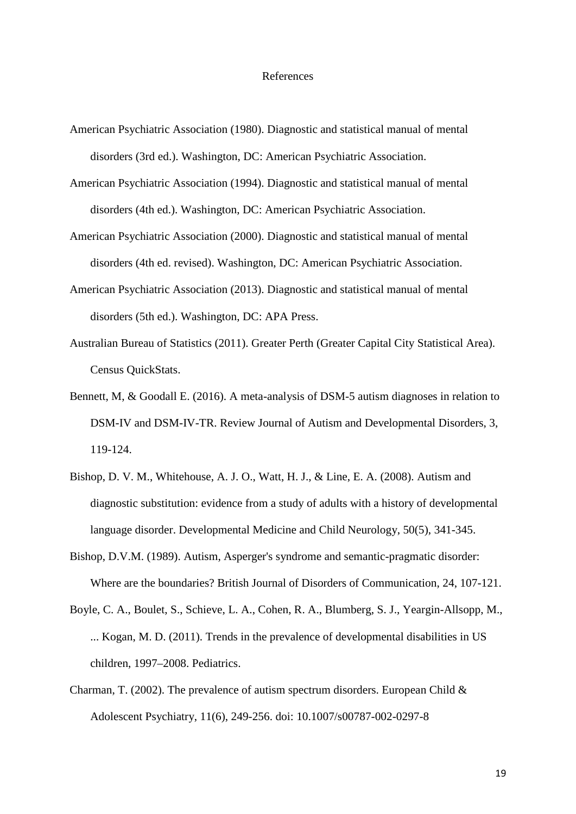#### References

- American Psychiatric Association (1980). Diagnostic and statistical manual of mental disorders (3rd ed.). Washington, DC: American Psychiatric Association.
- American Psychiatric Association (1994). Diagnostic and statistical manual of mental disorders (4th ed.). Washington, DC: American Psychiatric Association.
- American Psychiatric Association (2000). Diagnostic and statistical manual of mental disorders (4th ed. revised). Washington, DC: American Psychiatric Association.
- American Psychiatric Association (2013). Diagnostic and statistical manual of mental disorders (5th ed.). Washington, DC: APA Press.
- Australian Bureau of Statistics (2011). Greater Perth (Greater Capital City Statistical Area). Census QuickStats.
- Bennett, M, & Goodall E. (2016). A meta-analysis of DSM-5 autism diagnoses in relation to DSM-IV and DSM-IV-TR. Review Journal of Autism and Developmental Disorders, 3, 119-124.
- Bishop, D. V. M., Whitehouse, A. J. O., Watt, H. J., & Line, E. A. (2008). Autism and diagnostic substitution: evidence from a study of adults with a history of developmental language disorder. Developmental Medicine and Child Neurology, 50(5), 341-345.
- Bishop, D.V.M. (1989). Autism, Asperger's syndrome and semantic-pragmatic disorder: Where are the boundaries? British Journal of Disorders of Communication, 24, 107-121.
- Boyle, C. A., Boulet, S., Schieve, L. A., Cohen, R. A., Blumberg, S. J., Yeargin-Allsopp, M., ... Kogan, M. D. (2011). Trends in the prevalence of developmental disabilities in US children, 1997–2008. Pediatrics.
- Charman, T. (2002). The prevalence of autism spectrum disorders. European Child  $\&$ Adolescent Psychiatry, 11(6), 249-256. doi: 10.1007/s00787-002-0297-8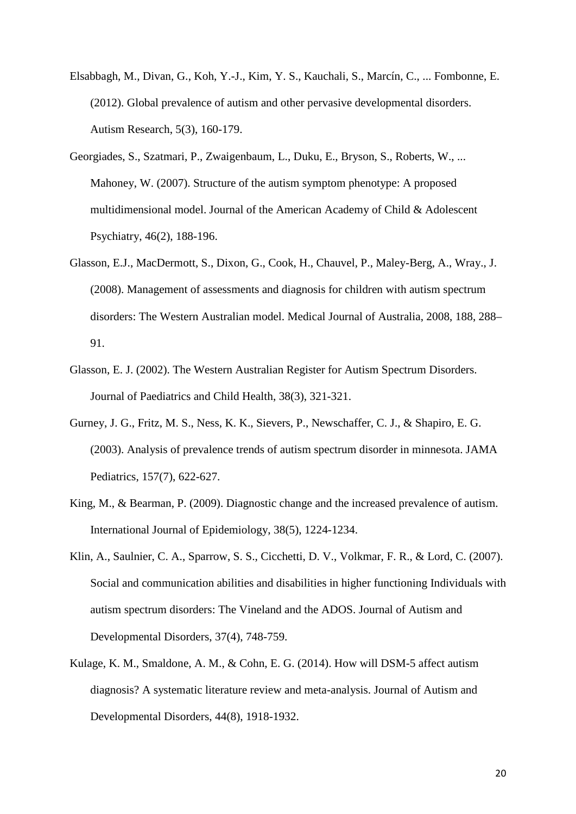- Elsabbagh, M., Divan, G., Koh, Y.-J., Kim, Y. S., Kauchali, S., Marcín, C., ... Fombonne, E. (2012). Global prevalence of autism and other pervasive developmental disorders. Autism Research, 5(3), 160-179.
- Georgiades, S., Szatmari, P., Zwaigenbaum, L., Duku, E., Bryson, S., Roberts, W., ... Mahoney, W. (2007). Structure of the autism symptom phenotype: A proposed multidimensional model. Journal of the American Academy of Child & Adolescent Psychiatry, 46(2), 188-196.
- Glasson, E.J., MacDermott, S., Dixon, G., Cook, H., Chauvel, P., Maley-Berg, A., Wray., J. (2008). Management of assessments and diagnosis for children with autism spectrum disorders: The Western Australian model. Medical Journal of Australia, 2008, 188, 288– 91.
- Glasson, E. J. (2002). The Western Australian Register for Autism Spectrum Disorders. Journal of Paediatrics and Child Health, 38(3), 321-321.
- Gurney, J. G., Fritz, M. S., Ness, K. K., Sievers, P., Newschaffer, C. J., & Shapiro, E. G. (2003). Analysis of prevalence trends of autism spectrum disorder in minnesota. JAMA Pediatrics, 157(7), 622-627.
- King, M., & Bearman, P. (2009). Diagnostic change and the increased prevalence of autism. International Journal of Epidemiology, 38(5), 1224-1234.
- Klin, A., Saulnier, C. A., Sparrow, S. S., Cicchetti, D. V., Volkmar, F. R., & Lord, C. (2007). Social and communication abilities and disabilities in higher functioning Individuals with autism spectrum disorders: The Vineland and the ADOS. Journal of Autism and Developmental Disorders, 37(4), 748-759.
- Kulage, K. M., Smaldone, A. M., & Cohn, E. G. (2014). How will DSM-5 affect autism diagnosis? A systematic literature review and meta-analysis. Journal of Autism and Developmental Disorders, 44(8), 1918-1932.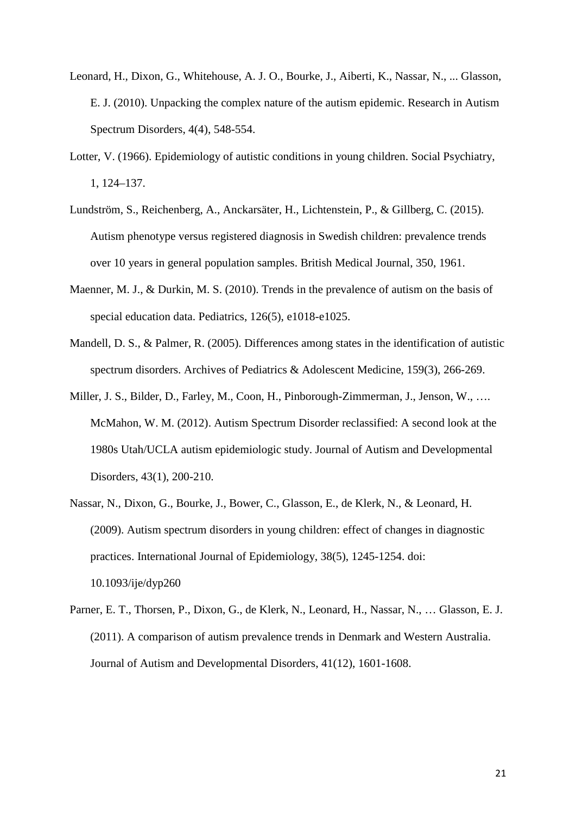- Leonard, H., Dixon, G., Whitehouse, A. J. O., Bourke, J., Aiberti, K., Nassar, N., ... Glasson, E. J. (2010). Unpacking the complex nature of the autism epidemic. Research in Autism Spectrum Disorders, 4(4), 548-554.
- Lotter, V. (1966). Epidemiology of autistic conditions in young children. Social Psychiatry, 1, 124–137.
- Lundström, S., Reichenberg, A., Anckarsäter, H., Lichtenstein, P., & Gillberg, C. (2015). Autism phenotype versus registered diagnosis in Swedish children: prevalence trends over 10 years in general population samples. British Medical Journal, 350, 1961.
- Maenner, M. J., & Durkin, M. S. (2010). Trends in the prevalence of autism on the basis of special education data. Pediatrics, 126(5), e1018-e1025.
- Mandell, D. S., & Palmer, R. (2005). Differences among states in the identification of autistic spectrum disorders. Archives of Pediatrics & Adolescent Medicine, 159(3), 266-269.
- Miller, J. S., Bilder, D., Farley, M., Coon, H., Pinborough-Zimmerman, J., Jenson, W., …. McMahon, W. M. (2012). Autism Spectrum Disorder reclassified: A second look at the 1980s Utah/UCLA autism epidemiologic study. Journal of Autism and Developmental Disorders, 43(1), 200-210.
- Nassar, N., Dixon, G., Bourke, J., Bower, C., Glasson, E., de Klerk, N., & Leonard, H. (2009). Autism spectrum disorders in young children: effect of changes in diagnostic practices. International Journal of Epidemiology, 38(5), 1245-1254. doi: 10.1093/ije/dyp260
- Parner, E. T., Thorsen, P., Dixon, G., de Klerk, N., Leonard, H., Nassar, N., … Glasson, E. J. (2011). A comparison of autism prevalence trends in Denmark and Western Australia. Journal of Autism and Developmental Disorders, 41(12), 1601-1608.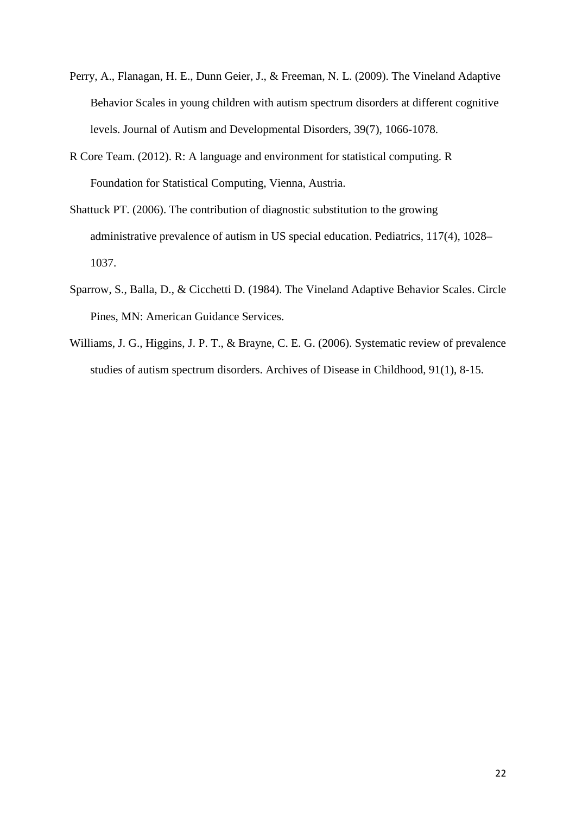- Perry, A., Flanagan, H. E., Dunn Geier, J., & Freeman, N. L. (2009). The Vineland Adaptive Behavior Scales in young children with autism spectrum disorders at different cognitive levels. Journal of Autism and Developmental Disorders, 39(7), 1066-1078.
- R Core Team. (2012). R: A language and environment for statistical computing. R Foundation for Statistical Computing, Vienna, Austria.
- Shattuck PT. (2006). The contribution of diagnostic substitution to the growing administrative prevalence of autism in US special education. Pediatrics, 117(4), 1028– 1037.
- Sparrow, S., Balla, D., & Cicchetti D. (1984). The Vineland Adaptive Behavior Scales. Circle Pines, MN: American Guidance Services.
- Williams, J. G., Higgins, J. P. T., & Brayne, C. E. G. (2006). Systematic review of prevalence studies of autism spectrum disorders. Archives of Disease in Childhood, 91(1), 8-15.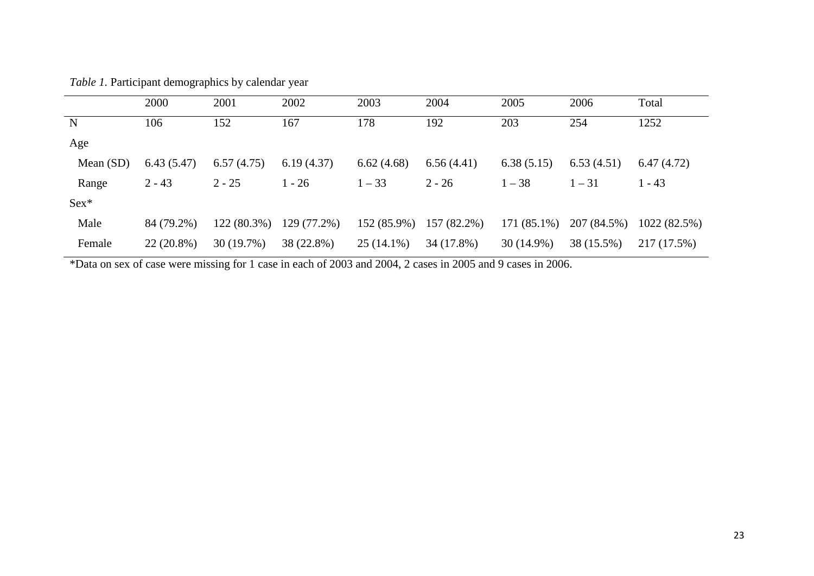|             | 2000         | 2001        | 2002        | 2003         | 2004        | 2005         | 2006        | Total        |
|-------------|--------------|-------------|-------------|--------------|-------------|--------------|-------------|--------------|
| ${\bf N}$   | 106          | 152         | 167         | 178          | 192         | 203          | 254         | 1252         |
| Age         |              |             |             |              |             |              |             |              |
| Mean $(SD)$ | 6.43(5.47)   | 6.57(4.75)  | 6.19(4.37)  | 6.62(4.68)   | 6.56(4.41)  | 6.38(5.15)   | 6.53(4.51)  | 6.47(4.72)   |
| Range       | $2 - 43$     | $2 - 25$    | $1 - 26$    | $1 - 33$     | $2 - 26$    | $1 - 38$     | $1 - 31$    | $1 - 43$     |
| $Sex*$      |              |             |             |              |             |              |             |              |
| Male        | 84 (79.2%)   | 122 (80.3%) | 129 (77.2%) | 152 (85.9%)  | 157 (82.2%) | 171 (85.1%)  | 207 (84.5%) | 1022 (82.5%) |
| Female      | $22(20.8\%)$ | 30(19.7%)   | 38 (22.8%)  | $25(14.1\%)$ | 34 (17.8%)  | $30(14.9\%)$ | 38 (15.5%)  | 217 (17.5%)  |

*Table 1.* Participant demographics by calendar year

\*Data on sex of case were missing for 1 case in each of 2003 and 2004, 2 cases in 2005 and 9 cases in 2006.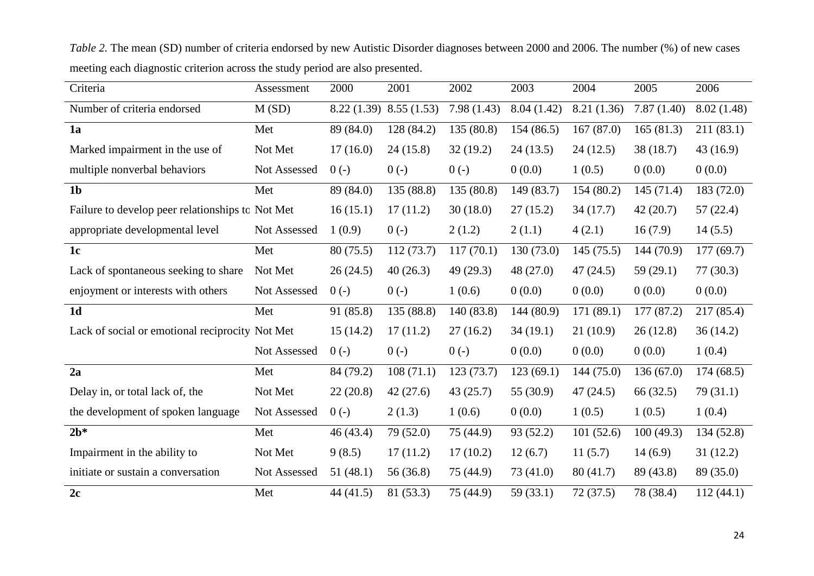| Criteria                                         | Assessment   | 2000      | 2001                    | 2002       | 2003       | 2004        | 2005       | 2006       |
|--------------------------------------------------|--------------|-----------|-------------------------|------------|------------|-------------|------------|------------|
| Number of criteria endorsed                      | M(SD)        |           | 8.22 (1.39) 8.55 (1.53) | 7.98(1.43) | 8.04(1.42) | 8.21 (1.36) | 7.87(1.40) | 8.02(1.48) |
| 1a                                               | Met          | 89 (84.0) | 128 (84.2)              | 135 (80.8) | 154(86.5)  | 167(87.0)   | 165(81.3)  | 211(83.1)  |
| Marked impairment in the use of                  | Not Met      | 17(16.0)  | 24(15.8)                | 32(19.2)   | 24(13.5)   | 24(12.5)    | 38 (18.7)  | 43(16.9)   |
| multiple nonverbal behaviors                     | Not Assessed | $0(-)$    | $0(-)$                  | $0(-)$     | 0(0.0)     | 1(0.5)      | 0(0.0)     | 0(0.0)     |
| 1 <sub>b</sub>                                   | Met          | 89 (84.0) | 135 (88.8)              | 135 (80.8) | 149 (83.7) | 154(80.2)   | 145(71.4)  | 183 (72.0) |
| Failure to develop peer relationships to Not Met |              | 16(15.1)  | 17(11.2)                | 30(18.0)   | 27(15.2)   | 34(17.7)    | 42(20.7)   | 57(22.4)   |
| appropriate developmental level                  | Not Assessed | 1(0.9)    | $0(-)$                  | 2(1.2)     | 2(1.1)     | 4(2.1)      | 16(7.9)    | 14(5.5)    |
| 1 <sub>c</sub>                                   | Met          | 80(75.5)  | 112(73.7)               | 117(70.1)  | 130 (73.0) | 145(75.5)   | 144 (70.9) | 177(69.7)  |
| Lack of spontaneous seeking to share             | Not Met      | 26(24.5)  | 40(26.3)                | 49(29.3)   | 48 (27.0)  | 47(24.5)    | 59(29.1)   | 77(30.3)   |
| enjoyment or interests with others               | Not Assessed | $0(-)$    | $0(-)$                  | 1(0.6)     | 0(0.0)     | 0(0.0)      | 0(0.0)     | 0(0.0)     |
| 1 <sub>d</sub>                                   | Met          | 91 (85.8) | 135 (88.8)              | 140(83.8)  | 144 (80.9) | 171(89.1)   | 177(87.2)  | 217 (85.4) |
| Lack of social or emotional reciprocity Not Met  |              | 15(14.2)  | 17(11.2)                | 27(16.2)   | 34(19.1)   | 21(10.9)    | 26(12.8)   | 36(14.2)   |
|                                                  | Not Assessed | $0(-)$    | $0(-)$                  | $0(-)$     | 0(0.0)     | 0(0.0)      | 0(0.0)     | 1(0.4)     |
| 2a                                               | Met          | 84 (79.2) | 108(71.1)               | 123(73.7)  | 123(69.1)  | 144(75.0)   | 136(67.0)  | 174(68.5)  |
| Delay in, or total lack of, the                  | Not Met      | 22(20.8)  | 42(27.6)                | 43(25.7)   | 55 (30.9)  | 47(24.5)    | 66 (32.5)  | 79(31.1)   |
| the development of spoken language               | Not Assessed | $0(-)$    | 2(1.3)                  | 1(0.6)     | 0(0.0)     | 1(0.5)      | 1(0.5)     | 1(0.4)     |
| $2b*$                                            | Met          | 46(43.4)  | 79 (52.0)               | 75 (44.9)  | 93 (52.2)  | 101(52.6)   | 100(49.3)  | 134 (52.8) |
| Impairment in the ability to                     | Not Met      | 9(8.5)    | 17(11.2)                | 17(10.2)   | 12(6.7)    | 11(5.7)     | 14(6.9)    | 31(12.2)   |
| initiate or sustain a conversation               | Not Assessed | 51(48.1)  | 56 (36.8)               | 75 (44.9)  | 73 (41.0)  | 80(41.7)    | 89 (43.8)  | 89 (35.0)  |
| 2c                                               | Met          | 44(41.5)  | 81 (53.3)               | 75 (44.9)  | 59(33.1)   | 72(37.5)    | 78 (38.4)  | 112(44.1)  |

*Table 2.* The mean (SD) number of criteria endorsed by new Autistic Disorder diagnoses between 2000 and 2006. The number (%) of new cases meeting each diagnostic criterion across the study period are also presented.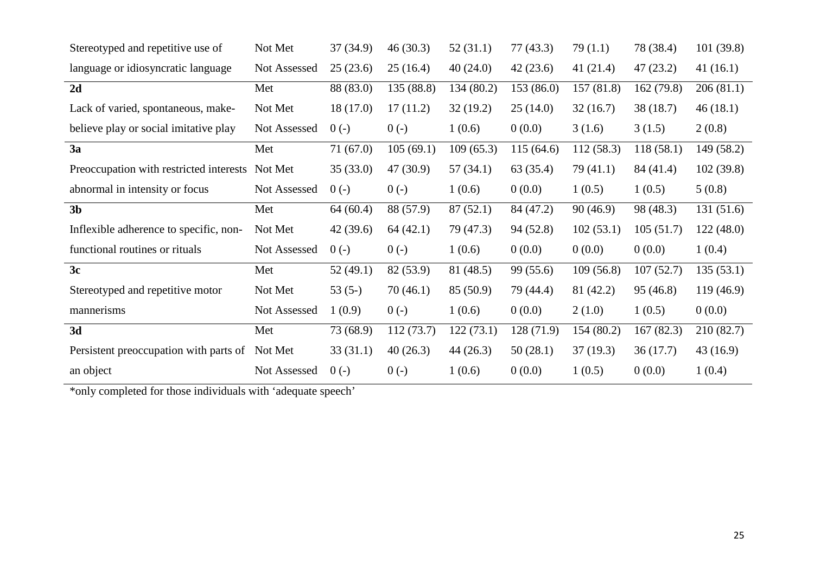| Stereotyped and repetitive use of       | Not Met      | 37 (34.9) | 46(30.3)   | 52(31.1)   | 77(43.3)   | 79(1.1)     | 78 (38.4) | 101(39.8) |
|-----------------------------------------|--------------|-----------|------------|------------|------------|-------------|-----------|-----------|
| language or idiosyncratic language      | Not Assessed | 25(23.6)  | 25(16.4)   | 40(24.0)   | 42(23.6)   | 41 $(21.4)$ | 47(23.2)  | 41(16.1)  |
| 2d                                      | Met          | 88 (83.0) | 135 (88.8) | 134 (80.2) | 153 (86.0) | 157(81.8)   | 162(79.8) | 206(81.1) |
| Lack of varied, spontaneous, make-      | Not Met      | 18(17.0)  | 17(11.2)   | 32(19.2)   | 25(14.0)   | 32(16.7)    | 38 (18.7) | 46(18.1)  |
| believe play or social imitative play   | Not Assessed | $0(-)$    | $0(-)$     | 1(0.6)     | 0(0.0)     | 3(1.6)      | 3(1.5)    | 2(0.8)    |
| 3a                                      | Met          | 71(67.0)  | 105(69.1)  | 109(65.3)  | 115(64.6)  | 112(58.3)   | 118(58.1) | 149(58.2) |
| Preoccupation with restricted interests | Not Met      | 35(33.0)  | 47(30.9)   | 57(34.1)   | 63 (35.4)  | 79(41.1)    | 84 (41.4) | 102(39.8) |
| abnormal in intensity or focus          | Not Assessed | $0(-)$    | $0(-)$     | 1(0.6)     | 0(0.0)     | 1(0.5)      | 1(0.5)    | 5(0.8)    |
| 3 <sub>b</sub>                          | Met          | 64(60.4)  | 88 (57.9)  | 87(52.1)   | 84 (47.2)  | 90(46.9)    | 98 (48.3) | 131(51.6) |
| Inflexible adherence to specific, non-  | Not Met      | 42(39.6)  | 64(42.1)   | 79 (47.3)  | 94(52.8)   | 102(53.1)   | 105(51.7) | 122(48.0) |
| functional routines or rituals          | Not Assessed | $0(-)$    | $0(-)$     | 1(0.6)     | 0(0.0)     | 0(0.0)      | 0(0.0)    | 1(0.4)    |
| 3c                                      | Met          | 52(49.1)  | 82 (53.9)  | 81 (48.5)  | 99 (55.6)  | 109(56.8)   | 107(52.7) | 135(53.1) |
| Stereotyped and repetitive motor        | Not Met      | $53(5-)$  | 70(46.1)   | 85 (50.9)  | 79 (44.4)  | 81 (42.2)   | 95(46.8)  | 119(46.9) |
| mannerisms                              | Not Assessed | 1(0.9)    | $0(-)$     | 1(0.6)     | 0(0.0)     | 2(1.0)      | 1(0.5)    | 0(0.0)    |
| 3d                                      | Met          | 73 (68.9) | 112(73.7)  | 122(73.1)  | 128(71.9)  | 154(80.2)   | 167(82.3) | 210(82.7) |
| Persistent preoccupation with parts of  | Not Met      | 33(31.1)  | 40(26.3)   | 44(26.3)   | 50(28.1)   | 37(19.3)    | 36(17.7)  | 43(16.9)  |
| an object                               | Not Assessed | $0(-)$    | $0(-)$     | 1(0.6)     | 0(0.0)     | 1(0.5)      | 0(0.0)    | 1(0.4)    |

\*only completed for those individuals with 'adequate speech'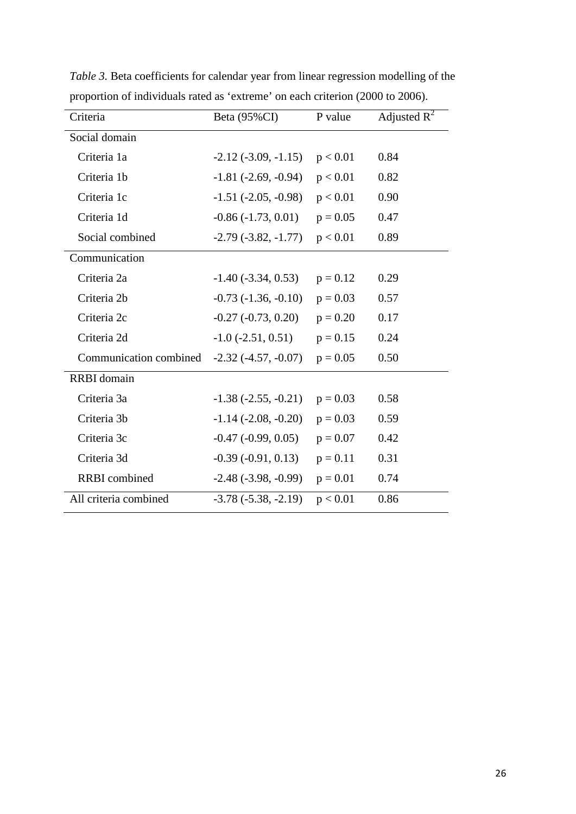| Criteria               | Beta (95%CI)                  | P value    | Adjusted $R^2$ |  |
|------------------------|-------------------------------|------------|----------------|--|
| Social domain          |                               |            |                |  |
| Criteria 1a            | $-2.12(-3.09, -1.15)$         | p < 0.01   | 0.84           |  |
| Criteria 1b            | $-1.81$ ( $-2.69$ , $-0.94$ ) | p < 0.01   | 0.82           |  |
| Criteria 1c            | $-1.51$ ( $-2.05$ , $-0.98$ ) | p < 0.01   | 0.90           |  |
| Criteria 1d            | $-0.86$ ( $-1.73$ , $0.01$ )  | $p = 0.05$ | 0.47           |  |
| Social combined        | $-2.79(-3.82,-1.77)$          | p < 0.01   | 0.89           |  |
| Communication          |                               |            |                |  |
| Criteria 2a            | $-1.40$ ( $-3.34$ , 0.53)     | $p = 0.12$ | 0.29           |  |
| Criteria 2b            | $-0.73$ $(-1.36, -0.10)$      | $p = 0.03$ | 0.57           |  |
| Criteria 2c            | $-0.27$ ( $-0.73$ , $0.20$ )  | $p = 0.20$ | 0.17           |  |
| Criteria 2d            | $-1.0$ ( $-2.51$ , 0.51)      | $p = 0.15$ | 0.24           |  |
| Communication combined | $-2.32(-4.57, -0.07)$         | $p = 0.05$ | 0.50           |  |
| RRBI domain            |                               |            |                |  |
| Criteria 3a            | $-1.38(-2.55, -0.21)$         | $p = 0.03$ | 0.58           |  |
| Criteria 3b            | $-1.14$ $(-2.08, -0.20)$      | $p = 0.03$ | 0.59           |  |
| Criteria 3c            | $-0.47$ ( $-0.99, 0.05$ )     | $p = 0.07$ | 0.42           |  |
| Criteria 3d            | $-0.39(-0.91, 0.13)$          | $p = 0.11$ | 0.31           |  |
| <b>RRBI</b> combined   | $-2.48(-3.98, -0.99)$         | $p = 0.01$ | 0.74           |  |
| All criteria combined  | $-3.78(-5.38, -2.19)$         | p < 0.01   | 0.86           |  |

*Table 3.* Beta coefficients for calendar year from linear regression modelling of the proportion of individuals rated as 'extreme' on each criterion (2000 to 2006).